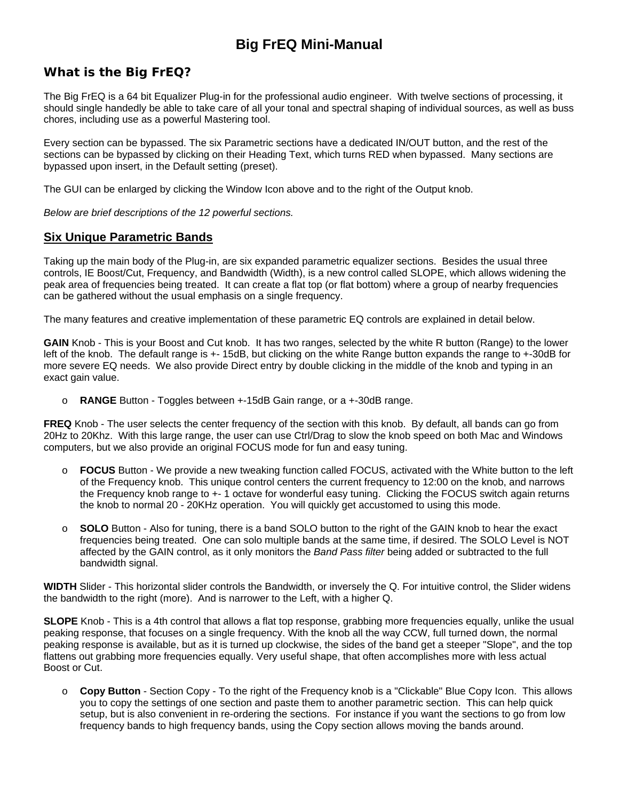# **Big FrEQ Mini-Manual**

## *What is the Big FrEQ?*

The Big FrEQ is a 64 bit Equalizer Plug-in for the professional audio engineer. With twelve sections of processing, it should single handedly be able to take care of all your tonal and spectral shaping of individual sources, as well as buss chores, including use as a powerful Mastering tool.

Every section can be bypassed. The six Parametric sections have a dedicated IN/OUT button, and the rest of the sections can be bypassed by clicking on their Heading Text, which turns RED when bypassed. Many sections are bypassed upon insert, in the Default setting (preset).

The GUI can be enlarged by clicking the Window Icon above and to the right of the Output knob.

*Below are brief descriptions of the 12 powerful sections.* 

### **Six Unique Parametric Bands**

Taking up the main body of the Plug-in, are six expanded parametric equalizer sections. Besides the usual three controls, IE Boost/Cut, Frequency, and Bandwidth (Width), is a new control called SLOPE, which allows widening the peak area of frequencies being treated. It can create a flat top (or flat bottom) where a group of nearby frequencies can be gathered without the usual emphasis on a single frequency.

The many features and creative implementation of these parametric EQ controls are explained in detail below.

**GAIN** Knob - This is your Boost and Cut knob. It has two ranges, selected by the white R button (Range) to the lower left of the knob. The default range is +- 15dB, but clicking on the white Range button expands the range to +-30dB for more severe EQ needs. We also provide Direct entry by double clicking in the middle of the knob and typing in an exact gain value.

o **RANGE** Button - Toggles between +-15dB Gain range, or a +-30dB range.

**FREQ** Knob - The user selects the center frequency of the section with this knob. By default, all bands can go from 20Hz to 20Khz. With this large range, the user can use Ctrl/Drag to slow the knob speed on both Mac and Windows computers, but we also provide an original FOCUS mode for fun and easy tuning.

- o **FOCUS** Button We provide a new tweaking function called FOCUS, activated with the White button to the left of the Frequency knob. This unique control centers the current frequency to 12:00 on the knob, and narrows the Frequency knob range to +- 1 octave for wonderful easy tuning. Clicking the FOCUS switch again returns the knob to normal 20 - 20KHz operation. You will quickly get accustomed to using this mode.
- o **SOLO** Button Also for tuning, there is a band SOLO button to the right of the GAIN knob to hear the exact frequencies being treated. One can solo multiple bands at the same time, if desired. The SOLO Level is NOT affected by the GAIN control, as it only monitors the *Band Pass filter* being added or subtracted to the full bandwidth signal.

**WIDTH** Slider - This horizontal slider controls the Bandwidth, or inversely the Q. For intuitive control, the Slider widens the bandwidth to the right (more). And is narrower to the Left, with a higher Q.

**SLOPE** Knob - This is a 4th control that allows a flat top response, grabbing more frequencies equally, unlike the usual peaking response, that focuses on a single frequency. With the knob all the way CCW, full turned down, the normal peaking response is available, but as it is turned up clockwise, the sides of the band get a steeper "Slope", and the top flattens out grabbing more frequencies equally. Very useful shape, that often accomplishes more with less actual Boost or Cut.

o **Copy Button** - Section Copy - To the right of the Frequency knob is a "Clickable" Blue Copy Icon. This allows you to copy the settings of one section and paste them to another parametric section. This can help quick setup, but is also convenient in re-ordering the sections. For instance if you want the sections to go from low frequency bands to high frequency bands, using the Copy section allows moving the bands around.